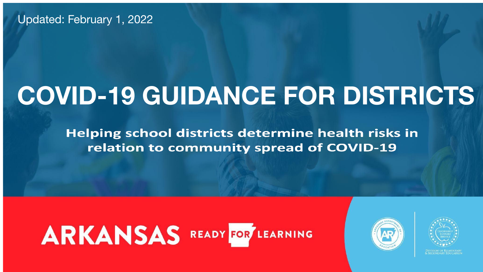#### Updated: February 1, 2022

# **COVID-19 GUIDANCE FOR DISTRICTS**

**Helping school districts determine health risks in** relation to community spread of COVID-19

# ARKANSAS READY FOR LEARNING







**& SECONDARY EDUCATION** 



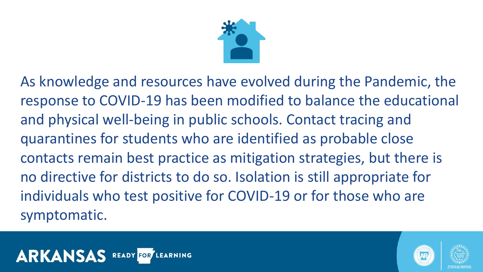- As knowledge and resources have evolved during the Pandemic, the response to COVID-19 has been modified to balance the educational contacts remain best practice as mitigation strategies, but there is
	-









and physical well-being in public schools. Contact tracing and quarantines for students who are identified as probable close no directive for districts to do so. Isolation is still appropriate for individuals who test positive for COVID-19 or for those who are symptomatic.

#### **ARKANSAS READY FOR LEARNING**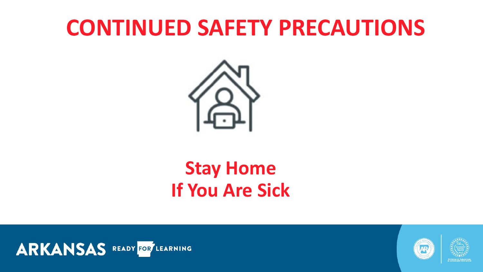# **CONTINUED SAFETY PRECAUTIONS**



## **Stay Home If You Are Sick**





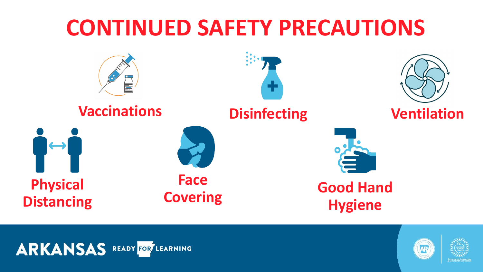# **CONTINUED SAFETY PRECAUTIONS**







#### ARKANSAS READY FOR LEARNING



#### **Vaccinations Disinfecting Ventilation**











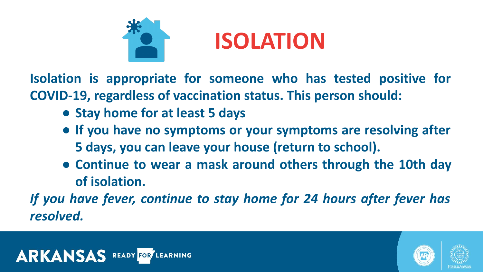



- **Isolation is appropriate for someone who has tested positive for** 
	-
	- **● If you have no symptoms or your symptoms are resolving after 5 days, you can leave your house (return to school).**
	- **● Continue to wear a mask around others through the 10th day**
- *If you have fever, continue to stay home for 24 hours after fever has*





**of isolation.**

*resolved.* 



# **ISOLATION**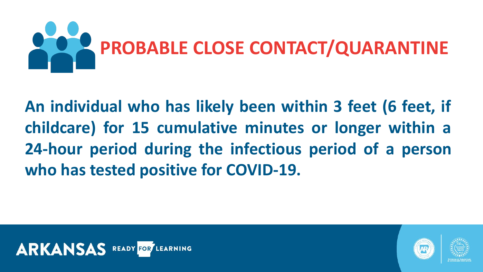

#### **An individual who has likely been within 3 feet (6 feet, if childcare) for 15 cumulative minutes or longer within a 24-hour period during the infectious period of a person who has tested positive for COVID-19.**



# **PROBABLE CLOSE CONTACT/QUARANTINE**





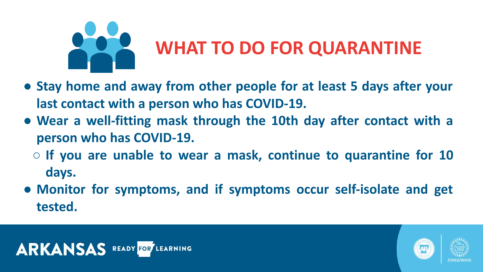- **● Stay home and away from other people for at least 5 days after your last contact with a person who has COVID-19. ● Wear a well-fitting mask through the 10th day after contact with a**
- **person who has COVID-19.**
	- **○ If you are unable to wear a mask, continue to quarantine for 10 days.**
- **● Monitor for symptoms, and if symptoms occur self-isolate and get tested.**

#### ARKANSAS READY FOR LEARNING





# **WHAT TO DO FOR QUARANTINE**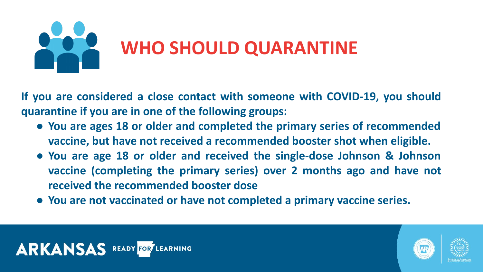## **WHO SHOULD QUARANTINE**

**If you are considered a close contact with someone with COVID-19, you should** 







**quarantine if you are in one of the following groups:** 

- **● You are ages 18 or older and completed the primary series of recommended vaccine, but have not received a recommended booster shot when eligible.**
- **● You are age 18 or older and received the single-dose Johnson & Johnson vaccine (completing the primary series) over 2 months ago and have not received the recommended booster dose**
- **● You are not vaccinated or have not completed a primary vaccine series.**

#### ARKANSAS READY FOR LEARNING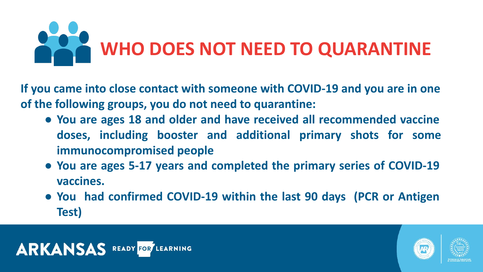# **WHO DOES NOT NEED TO QUARANTINE**







- **If you came into close contact with someone with COVID-19 and you are in one of the following groups, you do not need to quarantine: ● You are ages 18 and older and have received all recommended vaccine doses, including booster and additional primary shots for some immunocompromised people**
	- **● You are ages 5-17 years and completed the primary series of COVID-19 vaccines.**
	- **● You had confirmed COVID-19 within the last 90 days (PCR or Antigen Test)**

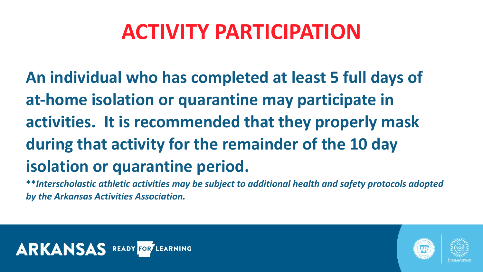# **ACTIVITY PARTICIPATION**

**An individual who has completed at least 5 full days of at-home isolation or quarantine may participate in activities. It is recommended that they properly mask during that activity for the remainder of the 10 day isolation or quarantine period.** *by the Arkansas Activities Association.*



- 
- 
- 
- 
- 
- **\*\****Interscholastic athletic activities may be subject to additional health and safety protocols adopted*